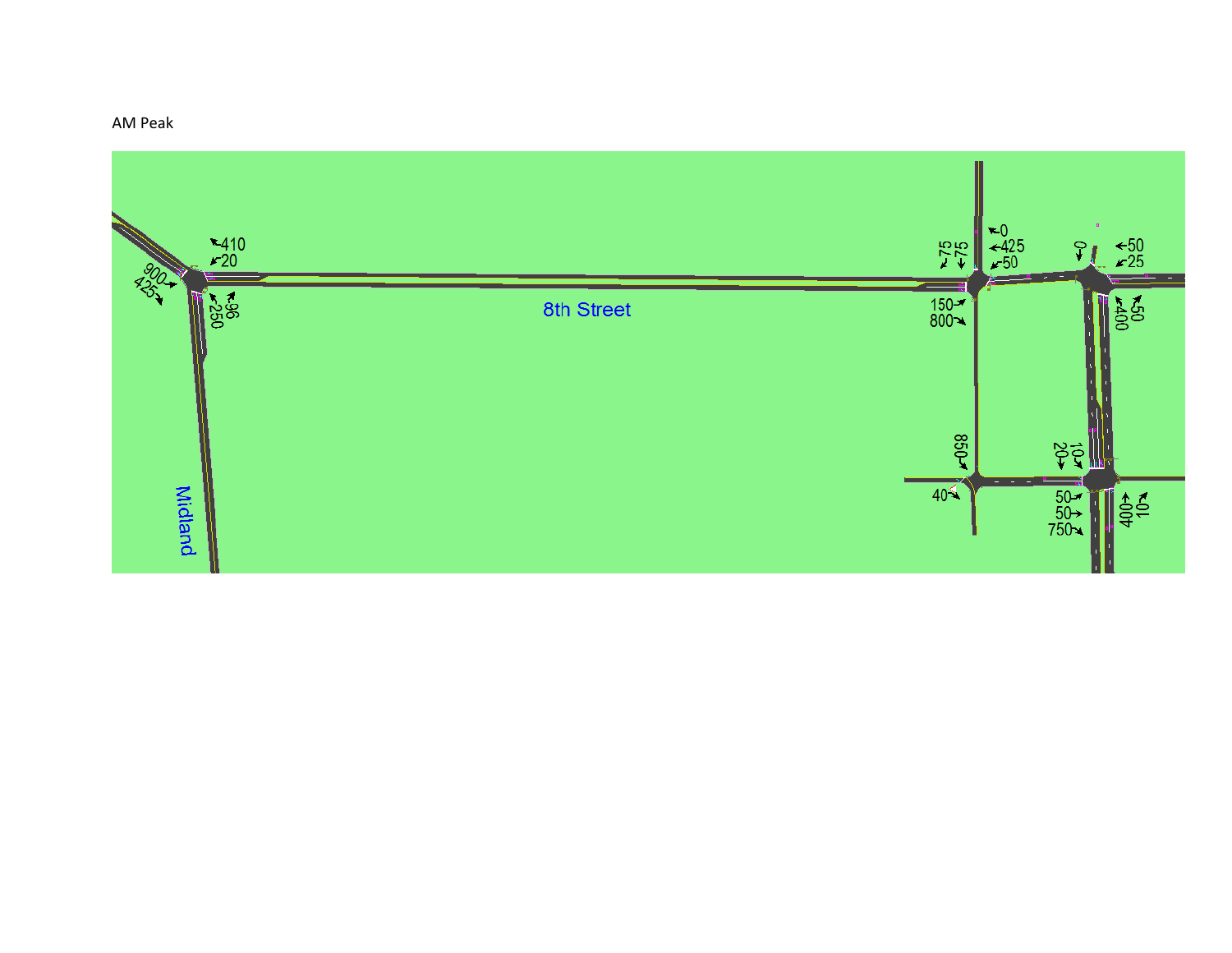## AM Peak

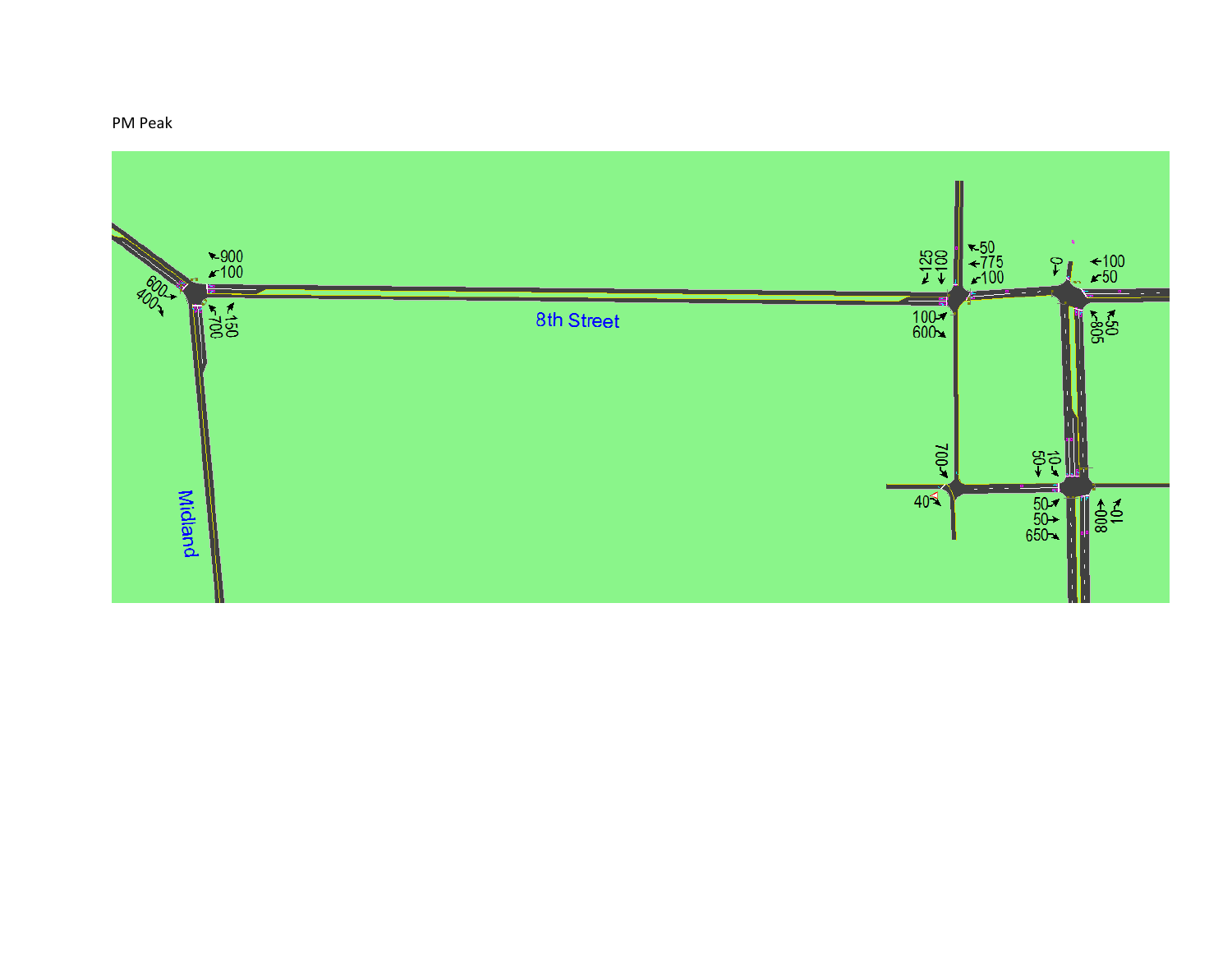## PM Peak